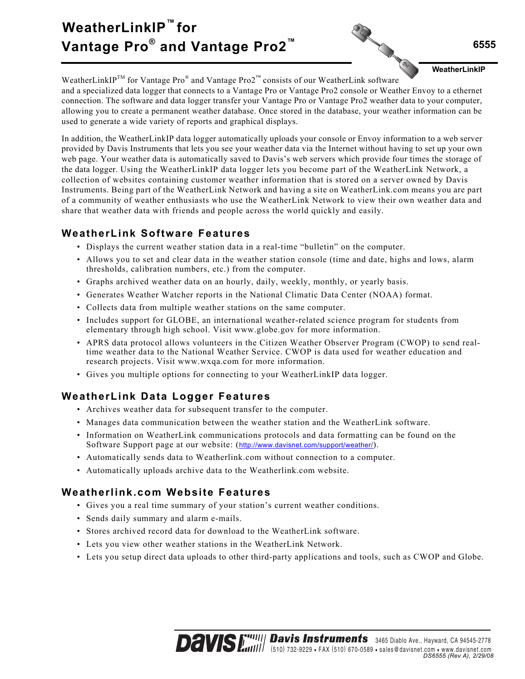# **WeatherLinkIP™ for Vantage Pro® and Vantage Pro2™**



**WeatherLinkIP**

WeatherLinkIP<sup>TM</sup> for Vantage Pro<sup>®</sup> and Vantage Pro2<sup>™</sup> consists of our WeatherLink software and a specialized data logger that connects to a Vantage Pro or Vantage Pro2 console or Weather Envoy to a ethernet connection. The software and data logger transfer your Vantage Pro or Vantage Pro2 weather data to your computer, allowing you to create a permanent weather database. Once stored in the database, your weather information can be used to generate a wide variety of reports and graphical displays.

In addition, the WeatherLinkIP data logger automatically uploads your console or Envoy information to a web server provided by Davis Instruments that lets you see your weather data via the Internet without having to set up your own web page. Your weather data is automatically saved to Davis's web servers which provide four times the storage of the data logger. Using the WeatherLinkIP data logger lets you become part of the WeatherLink Network, a collection of websites containing customer weather information that is stored on a server owned by Davis Instruments. Being part of the WeatherLink Network and having a site on WeatherLink.com means you are part of a community of weather enthusiasts who use the WeatherLink Network to view their own weather data and share that weather data with friends and people across the world quickly and easily.

# **WeatherLink Software Features**

- Displays the current weather station data in a real-time "bulletin" on the computer.
- Allows you to set and clear data in the weather station console (time and date, highs and lows, alarm thresholds, calibration numbers, etc.) from the computer.
- Graphs archived weather data on an hourly, daily, weekly, monthly, or yearly basis.
- Generates Weather Watcher reports in the National Climatic Data Center (NOAA) format.
- Collects data from multiple weather stations on the same computer.
- Includes support for GLOBE, an international weather-related science program for students from elementary through high school. Visit www.globe.gov for more information.
- APRS data protocol allows volunteers in the Citizen Weather Observer Program (CWOP) to send realtime weather data to the National Weather Service. CWOP is data used for weather education and research projects. Visit www.wxqa.com for more information.
- Gives you multiple options for connecting to your WeatherLinkIP data logger.

# **WeatherLink Data Logger Features**

- Archives weather data for subsequent transfer to the computer.
- Manages data communication between the weather station and the WeatherLink software.
- Information on WeatherLink communications protocols and data formatting can be found on the Software Support page at our website: (http://www.davisnet.com/support/weather/).
- Automatically sends data to Weatherlink.com without connection to a computer.
- Automatically uploads archive data to the Weatherlink.com website.

# **Weatherlink.com Website Features**

- Gives you a real time summary of your station's current weather conditions.
- Sends daily summary and alarm e-mails.
- Stores archived record data for download to the WeatherLink software.
- Lets you view other weather stations in the WeatherLink Network.
- Lets you setup direct data uploads to other third-party applications and tools, such as CWOP and Globe.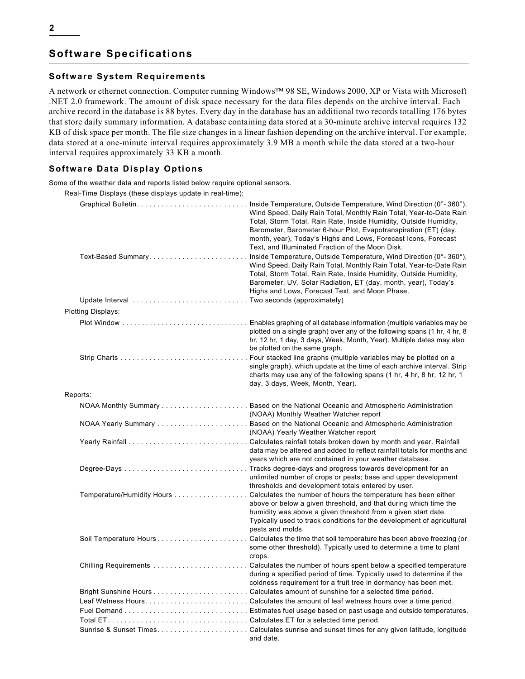## **Software Specifications**

### **Software System Requirements**

A network or ethernet connection. Computer running Windows™ 98 SE, Windows 2000, XP or Vista with Microsoft .NET 2.0 framework. The amount of disk space necessary for the data files depends on the archive interval. Each archive record in the database is 88 bytes. Every day in the database has an additional two records totalling 176 bytes that store daily summary information. A database containing data stored at a 30-minute archive interval requires 132 KB of disk space per month. The file size changes in a linear fashion depending on the archive interval. For example, data stored at a one-minute interval requires approximately 3.9 MB a month while the data stored at a two-hour interval requires approximately 33 KB a month.

## **Software Data Display Options**

Some of the weather data and reports listed below require optional sensors.

Real-Time Displays (these displays update in real-time):

|          |                                                     | Wind Speed, Daily Rain Total, Monthly Rain Total, Year-to-Date Rain<br>Total, Storm Total, Rain Rate, Inside Humidity, Outside Humidity,<br>Barometer, Barometer 6-hour Plot, Evapotranspiration (ET) (day,<br>month, year), Today's Highs and Lows, Forecast Icons, Forecast<br>Text, and Illuminated Fraction of the Moon Disk.<br>Wind Speed, Daily Rain Total, Monthly Rain Total, Year-to-Date Rain<br>Total, Storm Total, Rain Rate, Inside Humidity, Outside Humidity,<br>Barometer, UV, Solar Radiation, ET (day, month, year), Today's<br>Highs and Lows, Forecast Text, and Moon Phase. |  |  |
|----------|-----------------------------------------------------|---------------------------------------------------------------------------------------------------------------------------------------------------------------------------------------------------------------------------------------------------------------------------------------------------------------------------------------------------------------------------------------------------------------------------------------------------------------------------------------------------------------------------------------------------------------------------------------------------|--|--|
|          | Update Interval Two seconds (approximately)         |                                                                                                                                                                                                                                                                                                                                                                                                                                                                                                                                                                                                   |  |  |
|          | Plotting Displays:                                  |                                                                                                                                                                                                                                                                                                                                                                                                                                                                                                                                                                                                   |  |  |
|          |                                                     | plotted on a single graph) over any of the following spans (1 hr, 4 hr, 8<br>hr, 12 hr, 1 day, 3 days, Week, Month, Year). Multiple dates may also<br>be plotted on the same graph.                                                                                                                                                                                                                                                                                                                                                                                                               |  |  |
|          |                                                     | single graph), which update at the time of each archive interval. Strip<br>charts may use any of the following spans (1 hr, 4 hr, 8 hr, 12 hr, 1<br>day, 3 days, Week, Month, Year).                                                                                                                                                                                                                                                                                                                                                                                                              |  |  |
| Reports: |                                                     |                                                                                                                                                                                                                                                                                                                                                                                                                                                                                                                                                                                                   |  |  |
|          |                                                     | (NOAA) Monthly Weather Watcher report                                                                                                                                                                                                                                                                                                                                                                                                                                                                                                                                                             |  |  |
|          |                                                     | (NOAA) Yearly Weather Watcher report                                                                                                                                                                                                                                                                                                                                                                                                                                                                                                                                                              |  |  |
|          |                                                     | data may be altered and added to reflect rainfall totals for months and<br>years which are not contained in your weather database.                                                                                                                                                                                                                                                                                                                                                                                                                                                                |  |  |
|          |                                                     | unlimited number of crops or pests; base and upper development<br>thresholds and development totals entered by user.                                                                                                                                                                                                                                                                                                                                                                                                                                                                              |  |  |
|          |                                                     | Temperature/Humidity Hours Calculates the number of hours the temperature has been either<br>above or below a given threshold, and that during which time the<br>humidity was above a given threshold from a given start date.<br>Typically used to track conditions for the development of agricultural<br>pests and molds.                                                                                                                                                                                                                                                                      |  |  |
|          |                                                     | some other threshold). Typically used to determine a time to plant<br>crops.                                                                                                                                                                                                                                                                                                                                                                                                                                                                                                                      |  |  |
|          |                                                     | during a specified period of time. Typically used to determine if the<br>coldness requirement for a fruit tree in dormancy has been met.                                                                                                                                                                                                                                                                                                                                                                                                                                                          |  |  |
|          |                                                     |                                                                                                                                                                                                                                                                                                                                                                                                                                                                                                                                                                                                   |  |  |
|          |                                                     |                                                                                                                                                                                                                                                                                                                                                                                                                                                                                                                                                                                                   |  |  |
|          |                                                     |                                                                                                                                                                                                                                                                                                                                                                                                                                                                                                                                                                                                   |  |  |
|          | Total ET. Calculates ET for a selected time period. |                                                                                                                                                                                                                                                                                                                                                                                                                                                                                                                                                                                                   |  |  |
|          |                                                     | and date.                                                                                                                                                                                                                                                                                                                                                                                                                                                                                                                                                                                         |  |  |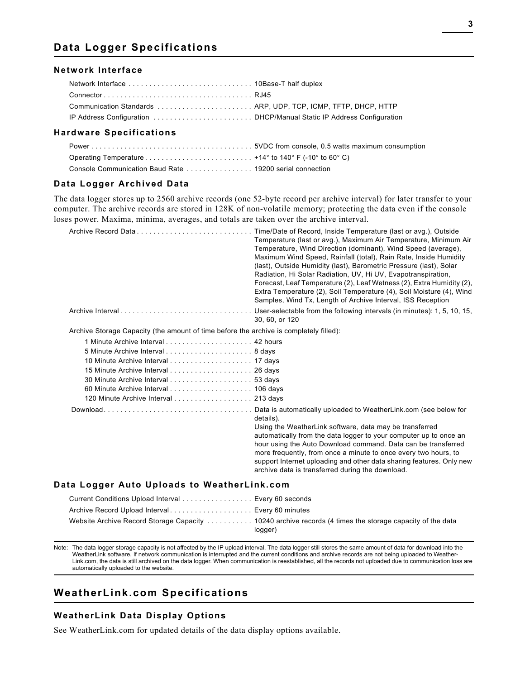## **Data Logger Specifications**

#### **Network Interface**

#### **Hardware Specifications**

| Operating Temperature $\dots \dots \dots \dots \dots \dots \dots \dots \dots \dots$ +14° to 140° F (-10° to 60° C) |  |
|--------------------------------------------------------------------------------------------------------------------|--|
|                                                                                                                    |  |

## **Data Logger Archived Data**

The data logger stores up to 2560 archive records (one 52-byte record per archive interval) for later transfer to your computer. The archive records are stored in 128K of non-volatile memory; protecting the data even if the console loses power. Maxima, minima, averages, and totals are taken over the archive interval.

|                                                                                        | Time/Date of Record, Inside Temperature (last or avg.), Outside<br>Temperature (last or avg.), Maximum Air Temperature, Minimum Air<br>Temperature, Wind Direction (dominant), Wind Speed (average),<br>Maximum Wind Speed, Rainfall (total), Rain Rate, Inside Humidity<br>(last), Outside Humidity (last), Barometric Pressure (last), Solar<br>Radiation, Hi Solar Radiation, UV, Hi UV, Evapotranspiration,<br>Forecast, Leaf Temperature (2), Leaf Wetness (2), Extra Humidity (2),<br>Extra Temperature (2), Soil Temperature (4), Soil Moisture (4), Wind<br>Samples, Wind Tx, Length of Archive Interval, ISS Reception |  |  |  |  |
|----------------------------------------------------------------------------------------|---------------------------------------------------------------------------------------------------------------------------------------------------------------------------------------------------------------------------------------------------------------------------------------------------------------------------------------------------------------------------------------------------------------------------------------------------------------------------------------------------------------------------------------------------------------------------------------------------------------------------------|--|--|--|--|
|                                                                                        | Archive IntervalUser-selectable from the following intervals (in minutes): 1, 5, 10, 15,<br>30, 60, or 120                                                                                                                                                                                                                                                                                                                                                                                                                                                                                                                      |  |  |  |  |
| Archive Storage Capacity (the amount of time before the archive is completely filled): |                                                                                                                                                                                                                                                                                                                                                                                                                                                                                                                                                                                                                                 |  |  |  |  |
|                                                                                        |                                                                                                                                                                                                                                                                                                                                                                                                                                                                                                                                                                                                                                 |  |  |  |  |
|                                                                                        |                                                                                                                                                                                                                                                                                                                                                                                                                                                                                                                                                                                                                                 |  |  |  |  |
|                                                                                        |                                                                                                                                                                                                                                                                                                                                                                                                                                                                                                                                                                                                                                 |  |  |  |  |
|                                                                                        |                                                                                                                                                                                                                                                                                                                                                                                                                                                                                                                                                                                                                                 |  |  |  |  |
|                                                                                        |                                                                                                                                                                                                                                                                                                                                                                                                                                                                                                                                                                                                                                 |  |  |  |  |
|                                                                                        |                                                                                                                                                                                                                                                                                                                                                                                                                                                                                                                                                                                                                                 |  |  |  |  |
| 120 Minute Archive Interval 213 days                                                   |                                                                                                                                                                                                                                                                                                                                                                                                                                                                                                                                                                                                                                 |  |  |  |  |
|                                                                                        | details).<br>Using the WeatherLink software, data may be transferred<br>automatically from the data logger to your computer up to once an<br>hour using the Auto Download command. Data can be transferred<br>more frequently, from once a minute to once every two hours, to<br>support Internet uploading and other data sharing features. Only new<br>archive data is transferred during the download.                                                                                                                                                                                                                       |  |  |  |  |
| Data Logger Auto Uploads to WeatherLink.com                                            |                                                                                                                                                                                                                                                                                                                                                                                                                                                                                                                                                                                                                                 |  |  |  |  |
| Current Conditions Upload Interval Every 60 seconds                                    |                                                                                                                                                                                                                                                                                                                                                                                                                                                                                                                                                                                                                                 |  |  |  |  |
| Archive Record Upload Interval Every 60 minutes                                        |                                                                                                                                                                                                                                                                                                                                                                                                                                                                                                                                                                                                                                 |  |  |  |  |
|                                                                                        | Website Archive Record Storage Capacity  10240 archive records (4 times the storage capacity of the data<br>logger)                                                                                                                                                                                                                                                                                                                                                                                                                                                                                                             |  |  |  |  |

Note: The data logger storage capacity is not affected by the IP upload interval. The data logger still stores the same amount of data for download into the WeatherLink software. If network communication is interrupted and the current conditions and archive records are not being uploaded to Weather-Link.com, the data is still archived on the data logger. When communication is reestablished, all the records not uploaded due to communication loss are automatically uploaded to the website.

## **WeatherLink.com Specifications**

#### **WeatherLink Data Display Options**

See WeatherLink.com for updated details of the data display options available.